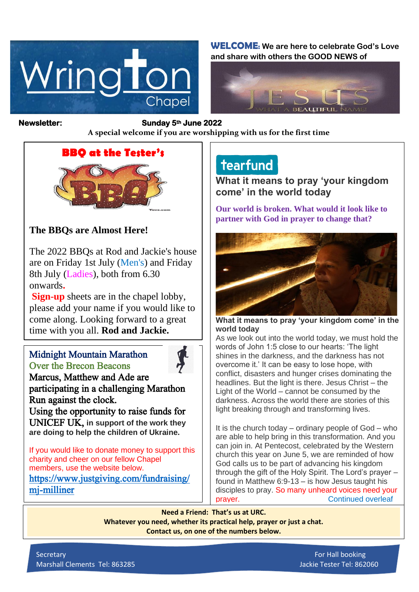

**WELCOME: We are here to celebrate God's Love and share with others the GOOD NEWS of**



#### **Newsletter: Sunday 5th June 2022**

*Figure 1ready steady* **A special welcome if you are worshipping with us for the first time**

## **BBQ at the Tester's**



## **The BBQs are Almost Here!**

The 2022 BBQs at Rod and Jackie's house are on Friday 1st July (Men's) and Friday 8th July (Ladies), both from 6.30 onwards**.**

**Sign-up** sheets are in the chapel lobby, please add your name if you would like to come along. Looking forward to a great time with you all. **Rod and Jackie.**

#### Midnight Mountain Marathon Over the Brecon Beacons



Marcus, Matthew and Ade are participating in a challenging Marathon Run against the clock.

Using the opportunity to raise funds for UNICEF UK, **in support of the work they are doing to help the children of Ukraine.**

If you would like to donate money to support this charity and cheer on our fellow Chapel members, use the website below. [https://www.justgiving.com/fundraising/](https://www.justgiving.com/fundraising/mj-milliner) [mj-milliner](https://www.justgiving.com/fundraising/mj-milliner) 

# tearfund

**What it means to pray 'your kingdom come' in the world today**

**Our world is broken. What would it look like to partner with God in prayer to change that?**



**What it means to pray 'your kingdom come' in the world today**

As we look out into the world today, we must hold the words of John 1:5 close to our hearts: 'The light shines in the darkness, and the darkness has not overcome it.' It can be easy to lose hope, with conflict, disasters and hunger crises dominating the headlines. But the light is there. Jesus Christ – the Light of the World – cannot be consumed by the darkness. Across the world there are stories of this light breaking through and transforming lives.

It is the church today – ordinary people of God – who are able to help bring in this transformation. And you can join in. At Pentecost, celebrated by the Western church this year on June 5, we are reminded of how God calls us to be part of advancing his kingdom through the gift of the Holy Spirit. The Lord's prayer – found in Matthew 6:9-13 – is how Jesus taught his disciples to pray. So many unheard voices need your **prayer.** Continued overleaf

**Need a Friend: That's us at URC. Whatever you need, whether its practical help, prayer or just a chat.**

**Contact us, on one of the numbers below.**

Secretary For Hall booking and the secretary  $\mathbb{F}_p$  is the secretary  $\mathbb{F}_p$  for Hall booking Marshall Clements Tel: 863285 Jackie Tester Tel: 862060